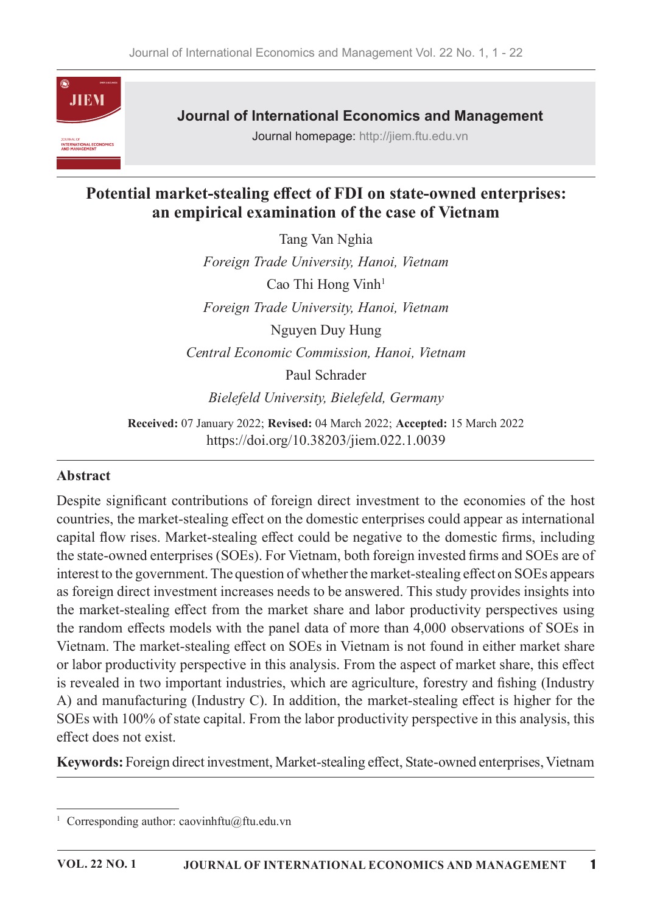

**Journal of International Economics and Management** 

Journal homepage: http://jiem.ftu.edu.vn

# Potential market-stealing effect of FDI on state-owned enterprises: an empirical examination of the case of Vietnam

Tang Van Nghia Foreign Trade University, Hanoi, Vietnam Cao Thi Hong Vinh<sup>1</sup> Foreign Trade University, Hanoi, Vietnam Nguyen Duy Hung Central Economic Commission, Hanoi, Vietnam Paul Schrader Bielefeld University, Bielefeld, Germany

Received: 07 January 2022; Revised: 04 March 2022; Accepted: 15 March 2022 https://doi.org/10.38203/jiem.022.1.0039

## **Abstract**

Despite significant contributions of foreign direct investment to the economies of the host countries, the market-stealing effect on the domestic enterprises could appear as international capital flow rises. Market-stealing effect could be negative to the domestic firms, including the state-owned enterprises (SOEs). For Vietnam, both foreign invested firms and SOEs are of interest to the government. The question of whether the market-stealing effect on SOEs appears as foreign direct investment increases needs to be answered. This study provides insights into the market-stealing effect from the market share and labor productivity perspectives using the random effects models with the panel data of more than 4,000 observations of SOEs in Vietnam. The market-stealing effect on SOEs in Vietnam is not found in either market share or labor productivity perspective in this analysis. From the aspect of market share, this effect is revealed in two important industries, which are agriculture, forestry and fishing (Industry A) and manufacturing (Industry C). In addition, the market-stealing effect is higher for the SOEs with 100% of state capital. From the labor productivity perspective in this analysis, this effect does not exist.

Keywords: Foreign direct investment, Market-stealing effect, State-owned enterprises, Vietnam

<sup>&</sup>lt;sup>1</sup> Corresponding author: caovinhftu@ftu.edu.vn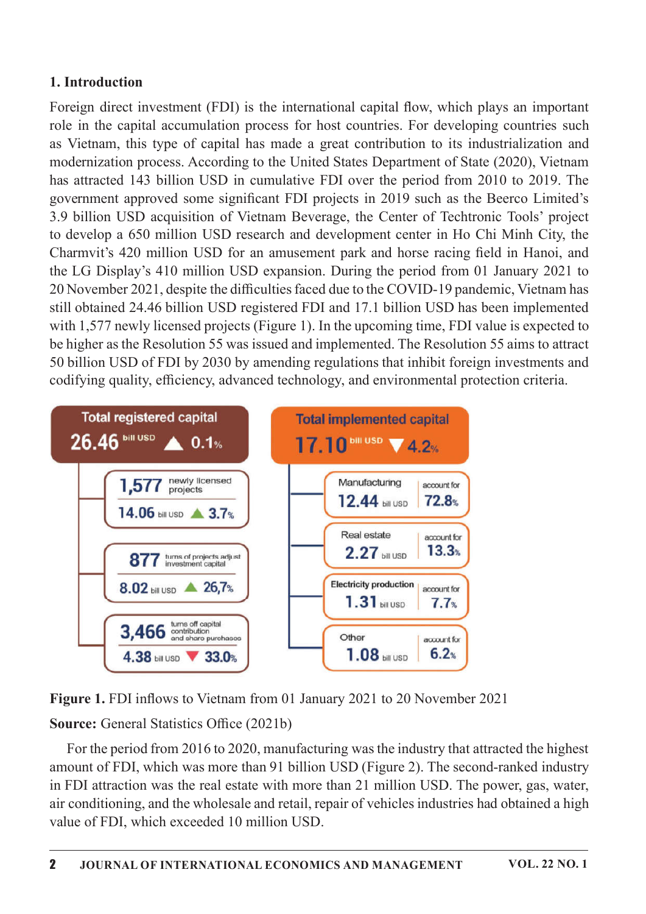## 1. Introduction

Foreign direct investment (FDI) is the international capital flow, which plays an important role in the capital accumulation process for host countries. For developing countries such as Vietnam, this type of capital has made a great contribution to its industrialization and modernization process. According to the United States Department of State (2020), Vietnam has attracted 143 billion USD in cumulative FDI over the period from 2010 to 2019. The government approved some significant FDI projects in 2019 such as the Beerco Limited's 3.9 billion USD acquisition of Vietnam Beverage, the Center of Techtronic Tools' project to develop a 650 million USD research and development center in Ho Chi Minh City, the Charmvit's 420 million USD for an amusement park and horse racing field in Hanoi, and the LG Display's 410 million USD expansion. During the period from 01 January 2021 to 20 November 2021, despite the difficulties faced due to the COVID-19 pandemic, Vietnam has still obtained 24.46 billion USD registered FDI and 17.1 billion USD has been implemented with  $1,577$  newly licensed projects (Figure 1). In the upcoming time, FDI value is expected to be higher as the Resolution 55 was issued and implemented. The Resolution 55 aims to attract 50 billion USD of FDI by 2030 by amending regulations that inhibit foreign investments and codifying quality, efficiency, advanced technology, and environmental protection criteria.



Figure 1. FDI inflows to Vietnam from 01 January 2021 to 20 November 2021

Source: General Statistics Office (2021b)

For the period from 2016 to 2020, manufacturing was the industry that attracted the highest amount of FDI, which was more than 91 billion USD (Figure 2). The second-ranked industry in FDI attraction was the real estate with more than 21 million USD. The power, gas, water, air conditioning, and the wholesale and retail, repair of vehicles industries had obtained a high value of FDI, which exceeded 10 million USD.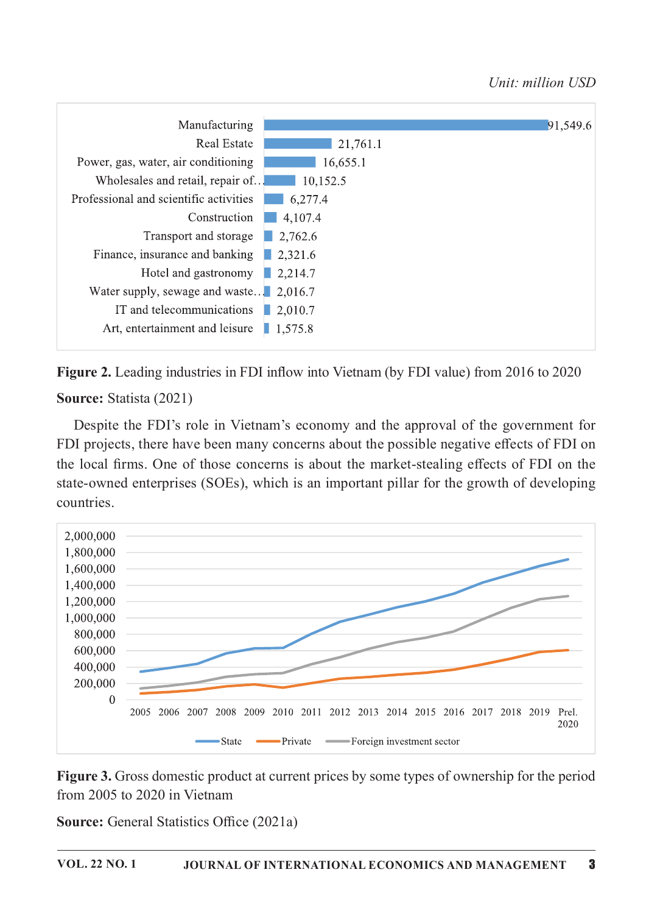

Figure 2. Leading industries in FDI inflow into Vietnam (by FDI value) from 2016 to 2020 Source: Statista (2021)

Despite the FDI's role in Vietnam's economy and the approval of the government for FDI projects, there have been many concerns about the possible negative effects of FDI on the local firms. One of those concerns is about the market-stealing effects of FDI on the state-owned enterprises (SOEs), which is an important pillar for the growth of developing countries.



Figure 3. Gross domestic product at current prices by some types of ownership for the period from 2005 to 2020 in Vietnam

**Source:** General Statistics Office (2021a)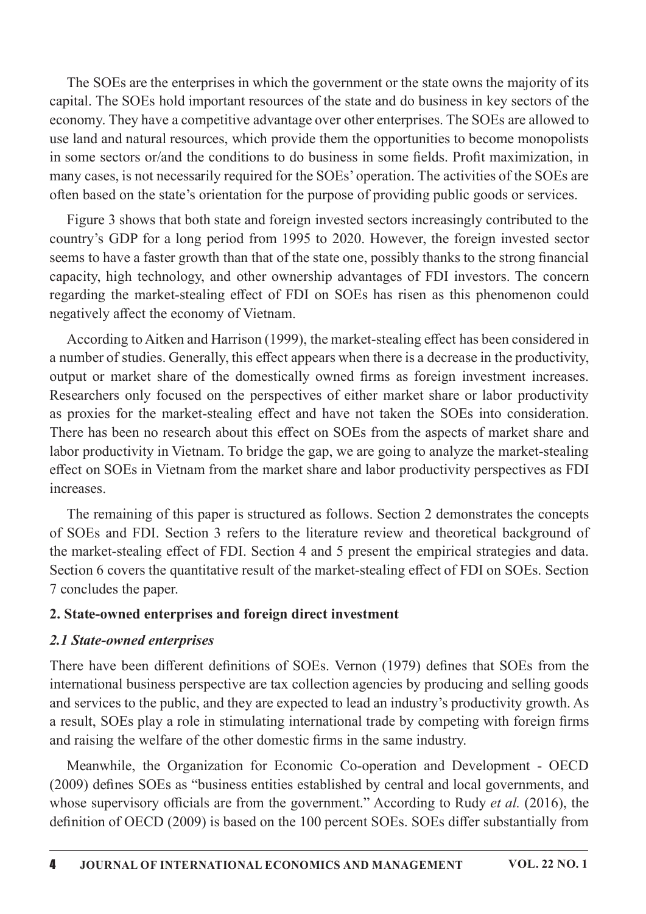The SOEs are the enterprises in which the government or the state owns the majority of its capital. The SOEs hold important resources of the state and do business in key sectors of the economy. They have a competitive advantage over other enterprises. The SOEs are allowed to use land and natural resources, which provide them the opportunities to become monopolists in some sectors or/and the conditions to do business in some fields. Profit maximization, in many cases, is not necessarily required for the SOEs' operation. The activities of the SOEs are often based on the state's orientation for the purpose of providing public goods or services.

Figure 3 shows that both state and foreign invested sectors increasingly contributed to the country's GDP for a long period from 1995 to 2020. However, the foreign invested sector seems to have a faster growth than that of the state one, possibly thanks to the strong financial capacity, high technology, and other ownership advantages of FDI investors. The concern regarding the market-stealing effect of FDI on SOEs has risen as this phenomenon could negatively affect the economy of Vietnam.

According to Aitken and Harrison (1999), the market-stealing effect has been considered in a number of studies. Generally, this effect appears when there is a decrease in the productivity, output or market share of the domestically owned firms as foreign investment increases. Researchers only focused on the perspectives of either market share or labor productivity as proxies for the market-stealing effect and have not taken the SOEs into consideration. There has been no research about this effect on SOEs from the aspects of market share and labor productivity in Vietnam. To bridge the gap, we are going to analyze the market-stealing effect on SOEs in Vietnam from the market share and labor productivity perspectives as FDI increases.

The remaining of this paper is structured as follows. Section 2 demonstrates the concepts of SOEs and FDI. Section 3 refers to the literature review and theoretical background of the market-stealing effect of FDI. Section 4 and 5 present the empirical strategies and data. Section 6 covers the quantitative result of the market-stealing effect of FDI on SOEs. Section 7 concludes the paper.

## 2. State-owned enterprises and foreign direct investment

#### 2.1 State-owned enterprises

There have been different definitions of SOEs. Vernon (1979) defines that SOEs from the international business perspective are tax collection agencies by producing and selling goods and services to the public, and they are expected to lead an industry's productivity growth. As a result, SOEs play a role in stimulating international trade by competing with foreign firms and raising the welfare of the other domestic firms in the same industry.

Meanwhile, the Organization for Economic Co-operation and Development - OECD (2009) defines SOEs as "business entities established by central and local governments, and whose supervisory officials are from the government." According to Rudy et al. (2016), the definition of OECD (2009) is based on the 100 percent SOEs. SOEs differ substantially from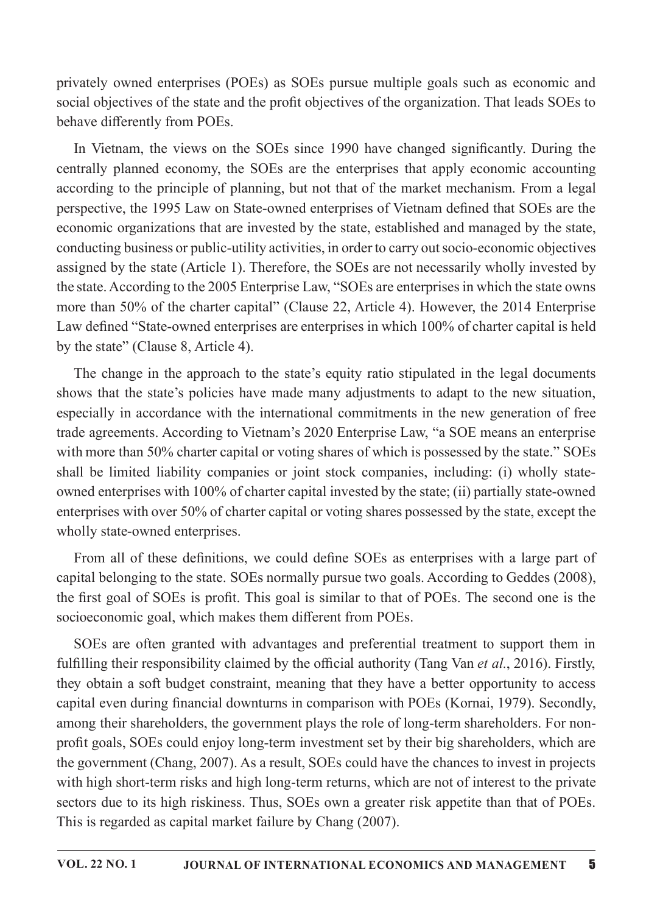privately owned enterprises (POEs) as SOEs pursue multiple goals such as economic and social objectives of the state and the profit objectives of the organization. That leads SOEs to behave differently from POEs.

In Vietnam, the views on the SOEs since 1990 have changed significantly. During the centrally planned economy, the SOEs are the enterprises that apply economic accounting according to the principle of planning, but not that of the market mechanism. From a legal perspective, the 1995 Law on State-owned enterprises of Vietnam defined that SOEs are the economic organizations that are invested by the state, established and managed by the state, conducting business or public-utility activities, in order to carry out socio-economic objectives assigned by the state (Article 1). Therefore, the SOEs are not necessarily wholly invested by the state. According to the 2005 Enterprise Law, "SOEs are enterprises in which the state owns more than 50% of the charter capital" (Clause 22, Article 4). However, the 2014 Enterprise Law defined "State-owned enterprises are enterprises in which 100% of charter capital is held by the state" (Clause 8, Article 4).

The change in the approach to the state's equity ratio stipulated in the legal documents shows that the state's policies have made many adjustments to adapt to the new situation, especially in accordance with the international commitments in the new generation of free trade agreements. According to Vietnam's 2020 Enterprise Law, "a SOE means an enterprise with more than 50% charter capital or voting shares of which is possessed by the state." SOEs shall be limited liability companies or joint stock companies, including: (i) wholly stateowned enterprises with 100% of charter capital invested by the state; (ii) partially state-owned enterprises with over 50% of charter capital or voting shares possessed by the state, except the wholly state-owned enterprises.

From all of these definitions, we could define SOEs as enterprises with a large part of capital belonging to the state. SOEs normally pursue two goals. According to Geddes (2008), the first goal of SOEs is profit. This goal is similar to that of POEs. The second one is the socioeconomic goal, which makes them different from POEs.

SOEs are often granted with advantages and preferential treatment to support them in fulfilling their responsibility claimed by the official authority (Tang Van *et al.*, 2016). Firstly, they obtain a soft budget constraint, meaning that they have a better opportunity to access capital even during financial downturns in comparison with POEs (Kornai, 1979). Secondly, among their shareholders, the government plays the role of long-term shareholders. For nonprofit goals, SOEs could enjoy long-term investment set by their big shareholders, which are the government (Chang, 2007). As a result, SOEs could have the chances to invest in projects with high short-term risks and high long-term returns, which are not of interest to the private sectors due to its high riskiness. Thus, SOEs own a greater risk appetite than that of POEs. This is regarded as capital market failure by Chang (2007).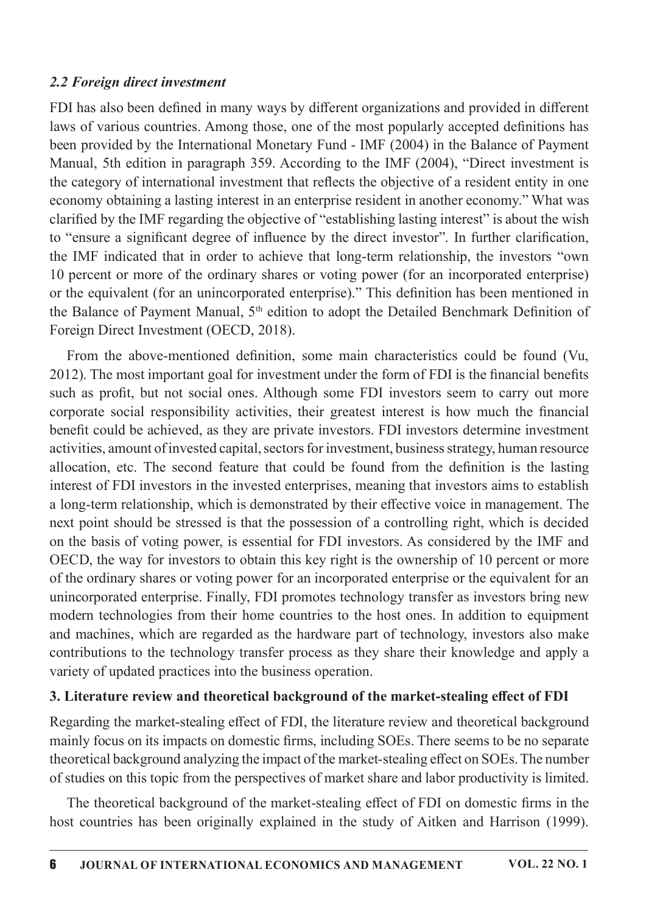#### 2.2 Foreign direct investment

FDI has also been defined in many ways by different organizations and provided in different laws of various countries. Among those, one of the most popularly accepted definitions has been provided by the International Monetary Fund - IMF (2004) in the Balance of Payment Manual, 5th edition in paragraph 359. According to the IMF (2004), "Direct investment is the category of international investment that reflects the objective of a resident entity in one economy obtaining a lasting interest in an enterprise resident in another economy." What was clarified by the IMF regarding the objective of "establishing lasting interest" is about the wish to "ensure a significant degree of influence by the direct investor". In further clarification, the IMF indicated that in order to achieve that long-term relationship, the investors "own 10 percent or more of the ordinary shares or voting power (for an incorporated enterprise) or the equivalent (for an unincorporated enterprise)." This definition has been mentioned in the Balance of Payment Manual,  $5<sup>th</sup>$  edition to adopt the Detailed Benchmark Definition of Foreign Direct Investment (OECD, 2018).

From the above-mentioned definition, some main characteristics could be found (Vu, 2012). The most important goal for investment under the form of FDI is the financial benefits such as profit, but not social ones. Although some FDI investors seem to carry out more corporate social responsibility activities, their greatest interest is how much the financial benefit could be achieved, as they are private investors. FDI investors determine investment activities, amount of invested capital, sectors for investment, business strategy, human resource allocation, etc. The second feature that could be found from the definition is the lasting interest of FDI investors in the invested enterprises, meaning that investors aims to establish a long-term relationship, which is demonstrated by their effective voice in management. The next point should be stressed is that the possession of a controlling right, which is decided on the basis of voting power, is essential for FDI investors. As considered by the IMF and OECD, the way for investors to obtain this key right is the ownership of 10 percent or more of the ordinary shares or voting power for an incorporated enterprise or the equivalent for an unincorporated enterprise. Finally, FDI promotes technology transfer as investors bring new modern technologies from their home countries to the host ones. In addition to equipment and machines, which are regarded as the hardware part of technology, investors also make contributions to the technology transfer process as they share their knowledge and apply a variety of updated practices into the business operation.

## 3. Literature review and theoretical background of the market-stealing effect of FDI

Regarding the market-stealing effect of FDI, the literature review and theoretical background mainly focus on its impacts on domestic firms, including SOEs. There seems to be no separate theoretical background analyzing the impact of the market-stealing effect on SOEs. The number of studies on this topic from the perspectives of market share and labor productivity is limited.

The theoretical background of the market-stealing effect of FDI on domestic firms in the host countries has been originally explained in the study of Aitken and Harrison (1999).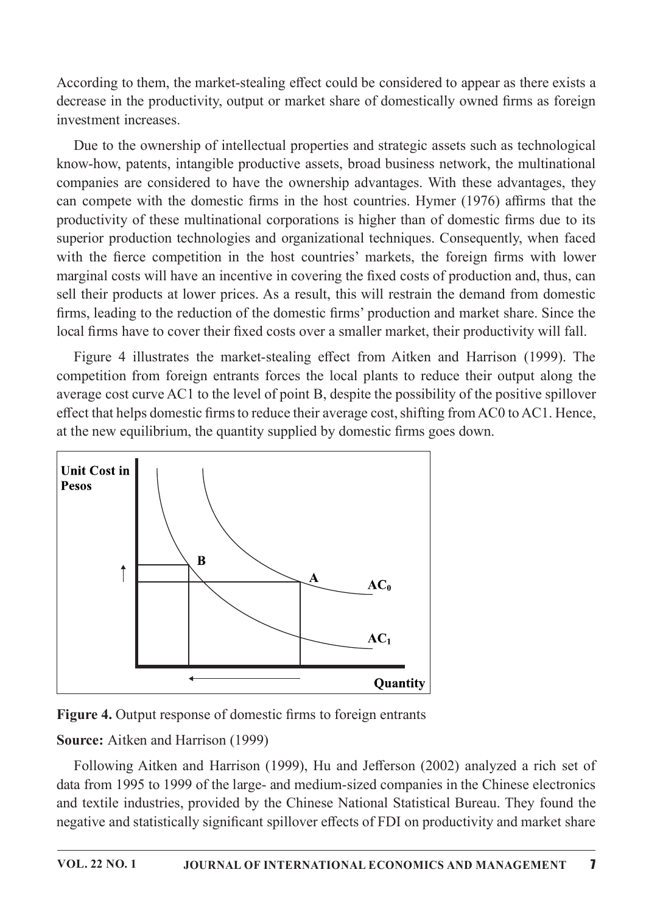According to them, the market-stealing effect could be considered to appear as there exists a decrease in the productivity, output or market share of domestically owned firms as foreign investment increases.

Due to the ownership of intellectual properties and strategic assets such as technological know-how, patents, intangible productive assets, broad business network, the multinational companies are considered to have the ownership advantages. With these advantages, they can compete with the domestic firms in the host countries. Hymer (1976) affirms that the productivity of these multinational corporations is higher than of domestic firms due to its superior production technologies and organizational techniques. Consequently, when faced with the fierce competition in the host countries' markets, the foreign firms with lower marginal costs will have an incentive in covering the fixed costs of production and, thus, can sell their products at lower prices. As a result, this will restrain the demand from domestic firms, leading to the reduction of the domestic firms' production and market share. Since the local firms have to cover their fixed costs over a smaller market, their productivity will fall.

Figure 4 illustrates the market-stealing effect from Aitken and Harrison (1999). The competition from foreign entrants forces the local plants to reduce their output along the average cost curve AC1 to the level of point B, despite the possibility of the positive spillover effect that helps domestic firms to reduce their average cost, shifting from AC0 to AC1. Hence, at the new equilibrium, the quantity supplied by domestic firms goes down.





## Source: Aitken and Harrison (1999)

Following Aitken and Harrison (1999), Hu and Jefferson (2002) analyzed a rich set of data from 1995 to 1999 of the large- and medium-sized companies in the Chinese electronics and textile industries, provided by the Chinese National Statistical Bureau. They found the negative and statistically significant spillover effects of FDI on productivity and market share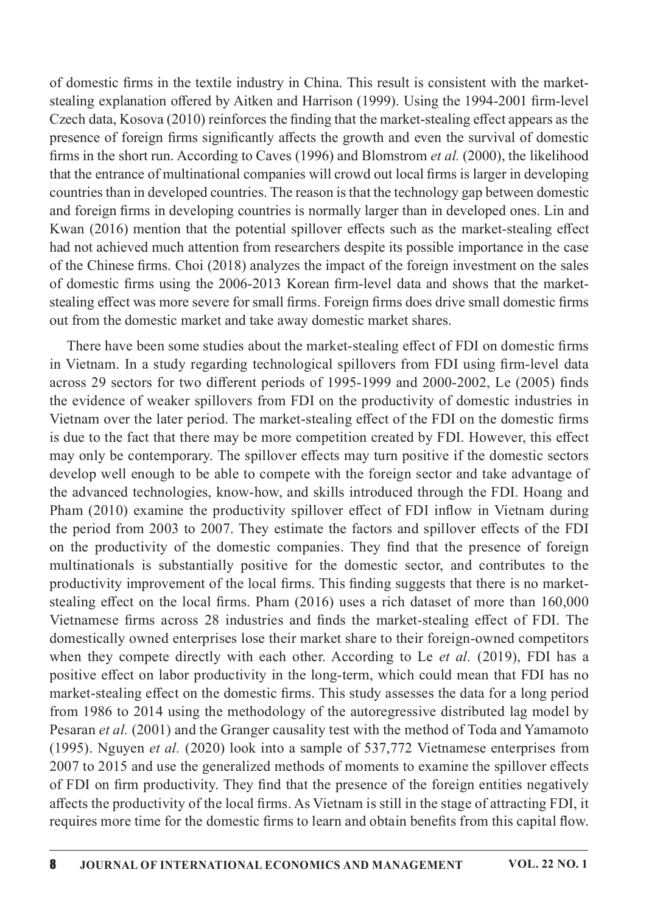of domestic firms in the textile industry in China. This result is consistent with the marketstealing explanation offered by Aitken and Harrison (1999). Using the 1994-2001 firm-level Czech data, Kosova  $(2010)$  reinforces the finding that the market-stealing effect appears as the presence of foreign firms significantly affects the growth and even the survival of domestic firms in the short run. According to Caves (1996) and Blomstrom *et al.* (2000), the likelihood that the entrance of multinational companies will crowd out local firms is larger in developing countries than in developed countries. The reason is that the technology gap between domestic and foreign firms in developing countries is normally larger than in developed ones. Lin and Kwan (2016) mention that the potential spillover effects such as the market-stealing effect had not achieved much attention from researchers despite its possible importance in the case of the Chinese firms. Choi (2018) analyzes the impact of the foreign investment on the sales of domestic firms using the 2006-2013 Korean firm-level data and shows that the marketstealing effect was more severe for small firms. Foreign firms does drive small domestic firms out from the domestic market and take away domestic market shares.

There have been some studies about the market-stealing effect of FDI on domestic firms in Vietnam. In a study regarding technological spillovers from FDI using firm-level data across 29 sectors for two different periods of 1995-1999 and 2000-2002, Le (2005) finds the evidence of weaker spillovers from FDI on the productivity of domestic industries in Vietnam over the later period. The market-stealing effect of the FDI on the domestic firms is due to the fact that there may be more competition created by FDI. However, this effect may only be contemporary. The spillover effects may turn positive if the domestic sectors develop well enough to be able to compete with the foreign sector and take advantage of the advanced technologies, know-how, and skills introduced through the FDI. Hoang and Pham (2010) examine the productivity spillover effect of FDI inflow in Vietnam during the period from 2003 to 2007. They estimate the factors and spillover effects of the FDI on the productivity of the domestic companies. They find that the presence of foreign multinationals is substantially positive for the domestic sector, and contributes to the productivity improvement of the local firms. This finding suggests that there is no marketstealing effect on the local firms. Pham  $(2016)$  uses a rich dataset of more than  $160,000$ Vietnamese firms across 28 industries and finds the market-stealing effect of FDI. The domestically owned enterprises lose their market share to their foreign-owned competitors when they compete directly with each other. According to Le et al. (2019), FDI has a positive effect on labor productivity in the long-term, which could mean that FDI has no market-stealing effect on the domestic firms. This study assesses the data for a long period from 1986 to 2014 using the methodology of the autoregressive distributed lag model by Pesaran et al. (2001) and the Granger causality test with the method of Toda and Yamamoto (1995). Nguyen et al. (2020) look into a sample of  $537,772$  Vietnamese enterprises from 2007 to 2015 and use the generalized methods of moments to examine the spillover effects of FDI on firm productivity. They find that the presence of the foreign entities negatively affects the productivity of the local firms. As Vietnam is still in the stage of attracting FDI, it requires more time for the domestic firms to learn and obtain benefits from this capital flow.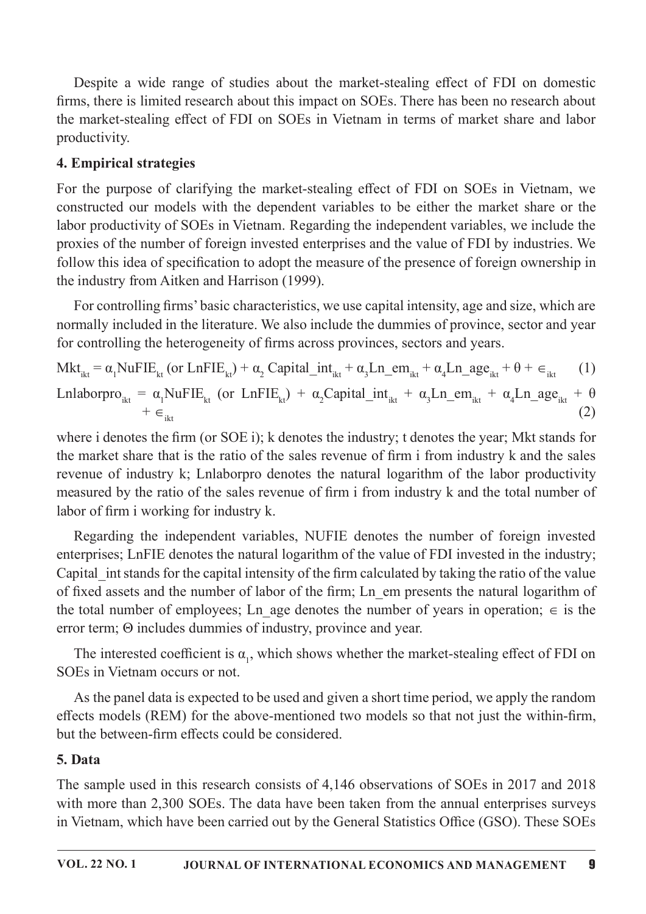Despite a wide range of studies about the market-stealing effect of FDI on domestic firms, there is limited research about this impact on SOEs. There has been no research about the market-stealing effect of FDI on SOEs in Vietnam in terms of market share and labor productivity.

# 4. Empirical strategies

For the purpose of clarifying the market-stealing effect of FDI on SOEs in Vietnam, we constructed our models with the dependent variables to be either the market share or the labor productivity of SOEs in Vietnam. Regarding the independent variables, we include the proxies of the number of foreign invested enterprises and the value of FDI by industries. We follow this idea of specification to adopt the measure of the presence of foreign ownership in the industry from Aitken and Harrison (1999).

For controlling firms' basic characteristics, we use capital intensity, age and size, which are normally included in the literature. We also include the dummies of province, sector and year for controlling the heterogeneity of firms across provinces, sectors and years.

 $Mkt_{ik} = \alpha_1 NuFIE_{kt}$  (or LnFIE<sub>kt</sub>) +  $\alpha_2$  Capital\_int<sub>ikt</sub> +  $\alpha_3 Ln\_em_{ikt} + \alpha_4 Ln\_age_{ikt} + \theta + \epsilon_{ikt}$  (1) Lnlaborpro<sub>ikt</sub> =  $\alpha_1$ NuFIE<sub>kt</sub> (or LnFIE<sub>kt</sub>) +  $\alpha_2$ Capital\_int<sub>ikt</sub> +  $\alpha_3$ Ln\_em<sub>ikt</sub> +  $\alpha_4$ Ln\_age<sub>ikt</sub> +  $\theta$  $+ \epsilon_{\text{ikt}}$  (2)

where i denotes the firm (or SOE i); k denotes the industry; t denotes the year; Mkt stands for the market share that is the ratio of the sales revenue of firm i from industry k and the sales revenue of industry k; Lnlaborpro denotes the natural logarithm of the labor productivity measured by the ratio of the sales revenue of firm i from industry k and the total number of labor of firm i working for industry k.

Regarding the independent variables, NUFIE denotes the number of foreign invested enterprises; LnFIE denotes the natural logarithm of the value of FDI invested in the industry; Capital int stands for the capital intensity of the firm calculated by taking the ratio of the value of fixed assets and the number of labor of the firm; Ln em presents the natural logarithm of the total number of employees; Ln age denotes the number of years in operation;  $\in$  is the error term; Θ includes dummies of industry, province and year.

The interested coefficient is  $\alpha_1$ , which shows whether the market-stealing effect of FDI on SOEs in Vietnam occurs or not.

As the panel data is expected to be used and given a short time period, we apply the random effects models (REM) for the above-mentioned two models so that not just the within-firm, but the between-firm effects could be considered.

## 5.Data

The sample used in this research consists of 4,146 observations of SOEs in 2017 and 2018 with more than 2,300 SOEs. The data have been taken from the annual enterprises surveys in Vietnam, which have been carried out by the General Statistics Office (GSO). These SOEs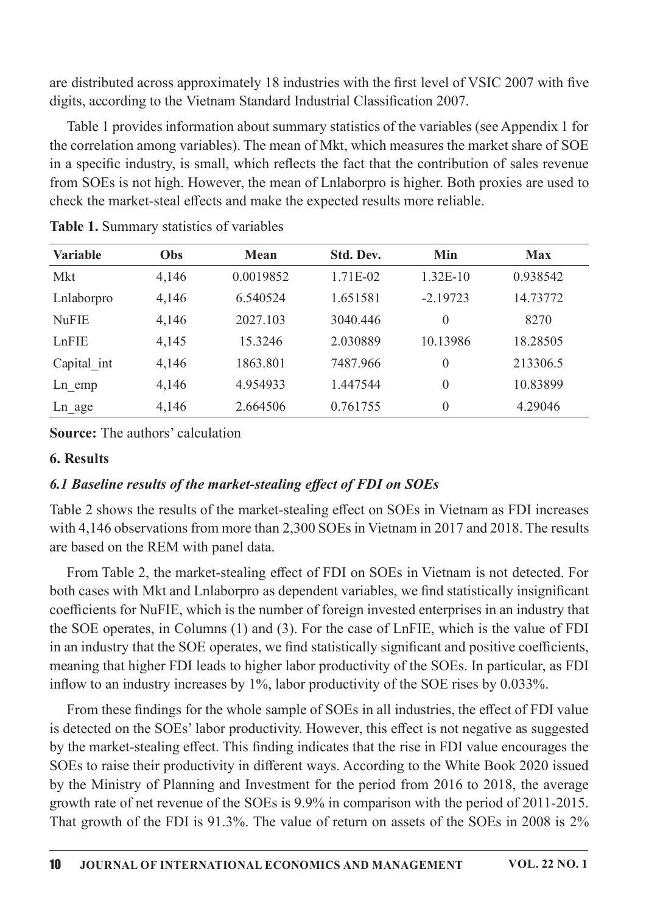are distributed across approximately 18 industries with the first level of VSIC 2007 with five digits, according to the Vietnam Standard Industrial Classification 2007.

Table 1 provides information about summary statistics of the variables (see Appendix 1 for the correlation among variables). The mean of Mkt, which measures the market share of SOE in a specific industry, is small, which reflects the fact that the contribution of sales revenue from SOEs is not high. However, the mean of Lnlaborpro is higher. Both proxies are used to check the market-steal effects and make the expected results more reliable.

| <b>Variable</b> | Obs   | <b>Mean</b> | Std. Dev. | Min            | <b>Max</b> |
|-----------------|-------|-------------|-----------|----------------|------------|
| Mkt             | 4,146 | 0.0019852   | 1.71E-02  | $1.32E-10$     | 0.938542   |
| Lnlaborpro      | 4,146 | 6.540524    | 1.651581  | $-2.19723$     | 14.73772   |
| <b>NuFIE</b>    | 4,146 | 2027.103    | 3040.446  | $\theta$       | 8270       |
| LnFIE           | 4,145 | 15.3246     | 2.030889  | 10.13986       | 18.28505   |
| Capital int     | 4,146 | 1863.801    | 7487.966  | $\overline{0}$ | 213306.5   |
| $Ln$ emp        | 4,146 | 4.954933    | 1.447544  | $\overline{0}$ | 10.83899   |
| Ln age          | 4,146 | 2.664506    | 0.761755  | $\overline{0}$ | 4.29046    |

Table 1. Summary statistics of variables

**Source:** The authors' calculation

# 6.Results

# 6.1 Baseline results of the market-stealing effect of FDI on SOEs

Table 2 shows the results of the market-stealing effect on SOEs in Vietnam as FDI increases with 4,146 observations from more than 2,300 SOEs in Vietnam in 2017 and 2018. The results are based on the REM with panel data.

From Table 2, the market-stealing effect of FDI on SOEs in Vietnam is not detected. For both cases with Mkt and Lnlaborpro as dependent variables, we find statistically insignificant coefficients for NuFIE, which is the number of foreign invested enterprises in an industry that the SOE operates, in Columns (1) and (3). For the case of LnFIE, which is the value of FDI in an industry that the SOE operates, we find statistically significant and positive coefficients, meaning that higher FDI leads to higher labor productivity of the SOEs. In particular, as FDI inflow to an industry increases by  $1\%$ , labor productivity of the SOE rises by 0.033%.

From these findings for the whole sample of SOEs in all industries, the effect of FDI value is detected on the SOEs' labor productivity. However, this effect is not negative as suggested by the market-stealing effect. This finding indicates that the rise in FDI value encourages the SOEs to raise their productivity in different ways. According to the White Book 2020 issued by the Ministry of Planning and Investment for the period from 2016 to 2018, the average growth rate of net revenue of the SOEs is 9.9% in comparison with the period of 2011-2015. That growth of the FDI is 91.3%. The value of return on assets of the SOEs in 2008 is 2%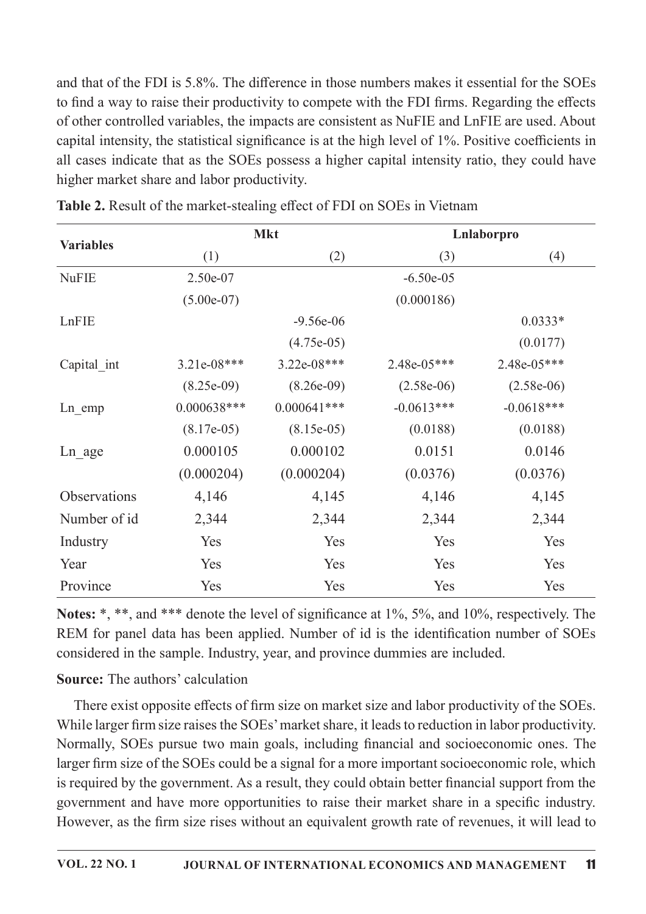and that of the FDI is 5.8%. The difference in those numbers makes it essential for the SOEs to find a way to raise their productivity to compete with the FDI firms. Regarding the effects of other controlled variables, the impacts are consistent as NuFIE and LnFIE are used. About capital intensity, the statistical significance is at the high level of 1%. Positive coefficients in all cases indicate that as the SOEs possess a higher capital intensity ratio, they could have higher market share and labor productivity.

|                  |               | <b>Mkt</b>    | Lnlaborpro   |              |  |
|------------------|---------------|---------------|--------------|--------------|--|
| <b>Variables</b> | (1)           | (2)           |              | (4)          |  |
| <b>NuFIE</b>     | 2.50e-07      |               | $-6.50e-05$  |              |  |
|                  | $(5.00e-07)$  |               | (0.000186)   |              |  |
| LnFIE            |               | $-9.56e-06$   |              | $0.0333*$    |  |
|                  |               | $(4.75e-05)$  |              | (0.0177)     |  |
| Capital int      | $3.21e-08***$ | 3.22e-08***   | 2.48e-05***  | 2.48e-05***  |  |
|                  | $(8.25e-09)$  | $(8.26e-09)$  | $(2.58e-06)$ | $(2.58e-06)$ |  |
| Ln emp           | $0.000638***$ | $0.000641***$ | $-0.0613***$ | $-0.0618***$ |  |
|                  | $(8.17e-05)$  | $(8.15e-05)$  | (0.0188)     | (0.0188)     |  |
| Ln age           | 0.000105      | 0.000102      | 0.0151       | 0.0146       |  |
|                  | (0.000204)    | (0.000204)    | (0.0376)     | (0.0376)     |  |
| Observations     | 4,146         | 4,145         | 4,146        | 4,145        |  |
| Number of id     | 2,344         | 2,344         | 2,344        | 2,344        |  |
| Industry         | Yes           | Yes           | Yes          | Yes          |  |
| Year             | Yes           | Yes           | Yes          | Yes          |  |
| Province         | Yes           | Yes           | Yes          | Yes          |  |

| Table 2. Result of the market-stealing effect of FDI on SOEs in Vietnam |  |
|-------------------------------------------------------------------------|--|

Notes: \*, \*\*, and \*\*\* denote the level of significance at 1%, 5%, and 10%, respectively. The REM for panel data has been applied. Number of id is the identification number of SOEs considered in the sample. Industry, year, and province dummies are included.

# **Source:** The authors' calculation

There exist opposite effects of firm size on market size and labor productivity of the SOEs. While larger firm size raises the SOEs' market share, it leads to reduction in labor productivity. Normally, SOEs pursue two main goals, including financial and socioeconomic ones. The larger firm size of the SOEs could be a signal for a more important socioeconomic role, which is required by the government. As a result, they could obtain better financial support from the government and have more opportunities to raise their market share in a specific industry. However, as the firm size rises without an equivalent growth rate of revenues, it will lead to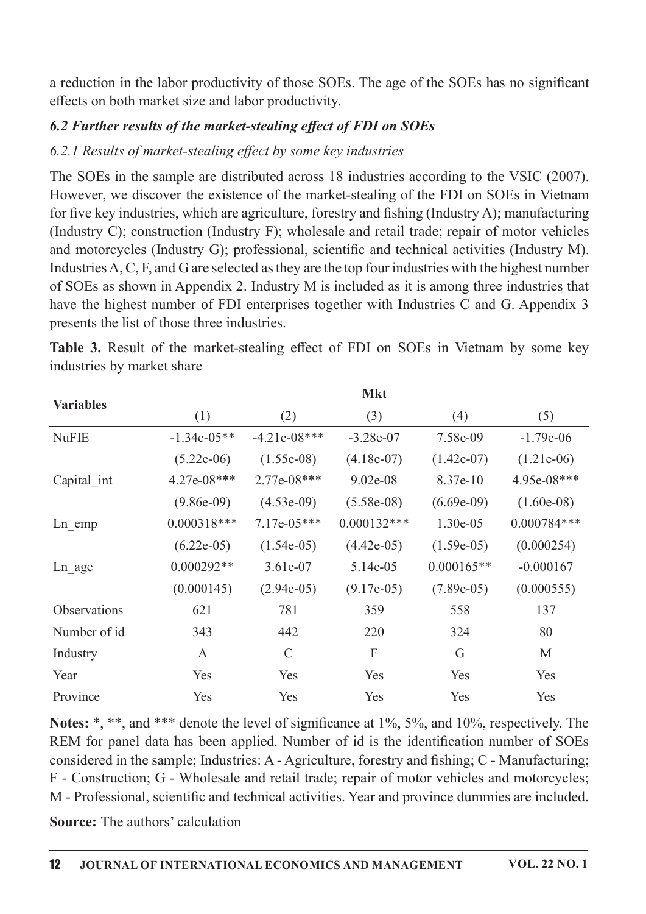a reduction in the labor productivity of those SOEs. The age of the SOEs has no significant effects on both market size and labor productivity.

# 6.2 Further results of the market-stealing effect of FDI on  $SOES$

# 6.2.1 Results of market-stealing effect by some key industries

The SOEs in the sample are distributed across 18 industries according to the VSIC (2007). However, we discover the existence of the market-stealing of the FDI on SOEs in Vietnam for five key industries, which are agriculture, forestry and fishing (Industry A); manufacturing (Industry C); construction (Industry F); wholesale and retail trade; repair of motor vehicles and motorcycles (Industry G); professional, scientific and technical activities (Industry M). Industries A, C, F, and G are selected as they are the top four industries with the highest number of SOEs as shown in Appendix 2. Industry M is included as it is among three industries that have the highest number of FDI enterprises together with Industries C and G. Appendix 3 presents the list of those three industries.

|                     | <b>Mkt</b>    |                |               |              |               |  |
|---------------------|---------------|----------------|---------------|--------------|---------------|--|
| <b>Variables</b>    | (1)           | (2)            | (3)           | (4)          | (5)           |  |
| <b>NuFIE</b>        | $-1.34e-05**$ | $-4.21e-08***$ | $-3.28e-07$   | 7.58e-09     | $-1.79e-06$   |  |
|                     | $(5.22e-06)$  | $(1.55e-08)$   | $(4.18e-07)$  | $(1.42e-07)$ | $(1.21e-06)$  |  |
| Capital int         | $4.27e-08***$ | $2.77e-08***$  | $9.02e-08$    | $8.37e-10$   | 4.95e-08***   |  |
|                     | $(9.86e-09)$  | $(4.53e-09)$   | $(5.58e-08)$  | $(6.69e-09)$ | $(1.60e-08)$  |  |
| $Ln$ emp            | $0.000318***$ | $7.17e-05***$  | $0.000132***$ | $1.30e-0.5$  | $0.000784***$ |  |
|                     | $(6.22e-05)$  | $(1.54e-05)$   | $(4.42e-05)$  | $(1.59e-05)$ | (0.000254)    |  |
| Ln age              | $0.000292**$  | $3.61e-07$     | 5.14e-05      | $0.000165**$ | $-0.000167$   |  |
|                     | (0.000145)    | $(2.94e-05)$   | $(9.17e-05)$  | $(7.89e-05)$ | (0.000555)    |  |
| <b>Observations</b> | 621           | 781            | 359           | 558          | 137           |  |
| Number of id        | 343           | 442            | 220           | 324          | 80            |  |
| Industry            | A             | $\mathcal{C}$  | F             | G            | M             |  |
| Year                | Yes           | Yes            | Yes           | Yes          | Yes           |  |
| Province            | Yes           | Yes            | Yes           | Yes          | Yes           |  |

Table 3. Result of the market-stealing effect of FDI on SOEs in Vietnam by some key industries by market share

Notes: \*, \*\*, and \*\*\* denote the level of significance at 1%, 5%, and 10%, respectively. The REM for panel data has been applied. Number of id is the identification number of SOEs considered in the sample; Industries: A - Agriculture, forestry and fishing; C - Manufacturing; F - Construction; G - Wholesale and retail trade; repair of motor vehicles and motorcycles; M - Professional, scientific and technical activities. Year and province dummies are included.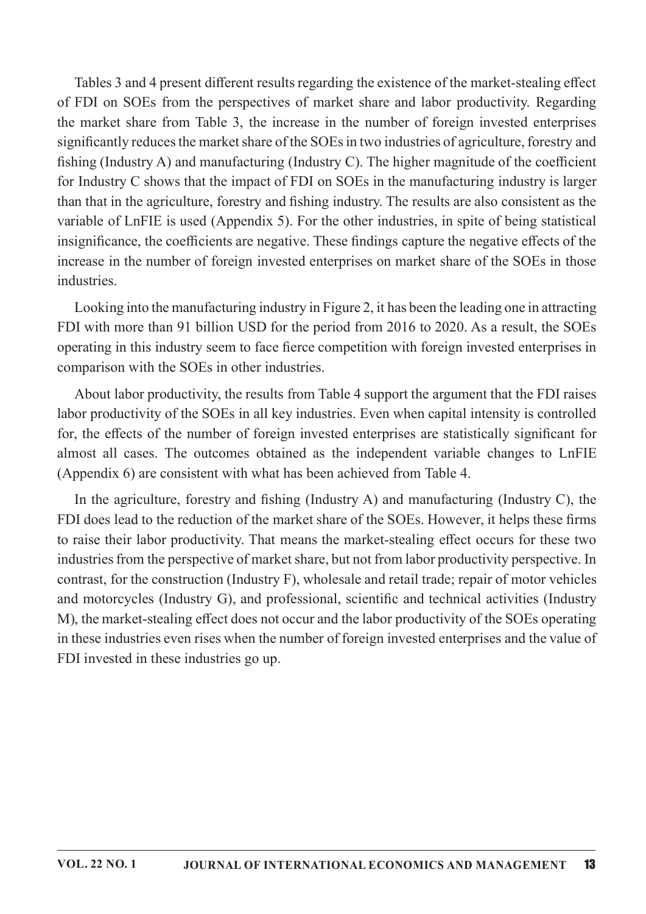Tables 3 and 4 present different results regarding the existence of the market-stealing effect of FDI on SOEs from the perspectives of market share and labor productivity. Regarding the market share from Table 3, the increase in the number of foreign invested enterprises significantly reduces the market share of the SOEs in two industries of agriculture, forestry and fishing (Industry A) and manufacturing (Industry C). The higher magnitude of the coefficient for Industry C shows that the impact of FDI on SOEs in the manufacturing industry is larger than that in the agriculture, forestry and fishing industry. The results are also consistent as the variable of LnFIE is used (Appendix 5). For the other industries, in spite of being statistical insignificance, the coefficients are negative. These findings capture the negative effects of the increase in the number of foreign invested enterprises on market share of the SOEs in those industries.

Looking into the manufacturing industry in Figure 2, it has been the leading one in attracting FDI with more than 91 billion USD for the period from 2016 to 2020. As a result, the SOEs operating in this industry seem to face fierce competition with foreign invested enterprises in comparison with the SOEs in other industries.

About labor productivity, the results from Table 4 support the argument that the FDI raises labor productivity of the SOEs in all key industries. Even when capital intensity is controlled for, the effects of the number of foreign invested enterprises are statistically significant for almost all cases. The outcomes obtained as the independent variable changes to LnFIE (Appendix 6) are consistent with what has been achieved from Table 4.

In the agriculture, forestry and fishing (Industry A) and manufacturing (Industry C), the FDI does lead to the reduction of the market share of the SOEs. However, it helps these firms to raise their labor productivity. That means the market-stealing effect occurs for these two industries from the perspective of market share, but not from labor productivity perspective. In contrast, for the construction (Industry F), wholesale and retail trade; repair of motor vehicles and motorcycles (Industry G), and professional, scientific and technical activities (Industry M), the market-stealing effect does not occur and the labor productivity of the SOEs operating in these industries even rises when the number of foreign invested enterprises and the value of FDI invested in these industries go up.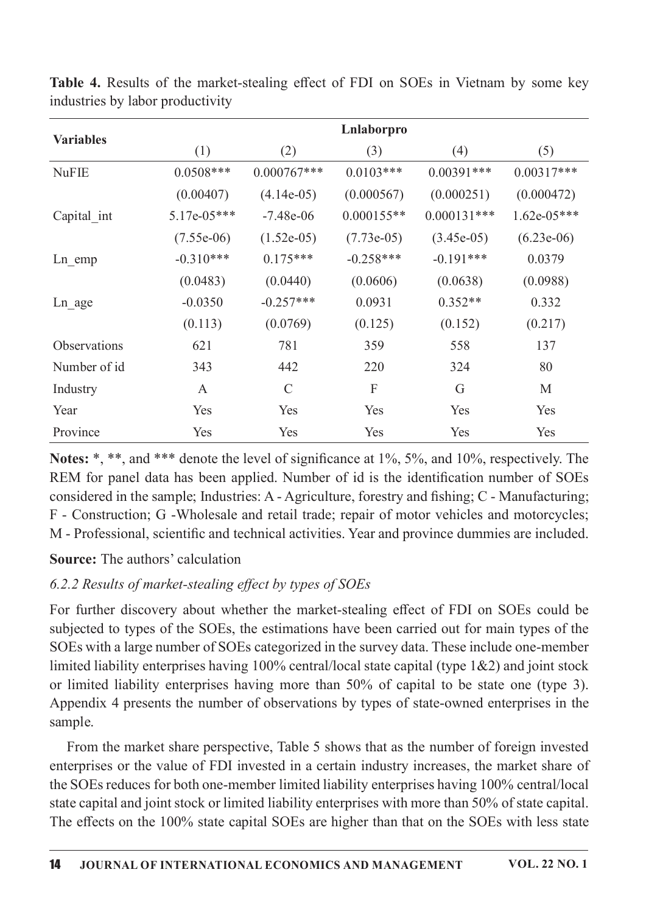|                  |               |               | Lnlaborpro   |               |               |
|------------------|---------------|---------------|--------------|---------------|---------------|
| <b>Variables</b> | (1)           | (2)           | (3)          | (4)           | (5)           |
| <b>NuFIE</b>     | $0.0508***$   | $0.000767***$ | $0.0103***$  | $0.00391***$  | $0.00317***$  |
|                  | (0.00407)     | $(4.14e-05)$  | (0.000567)   | (0.000251)    | (0.000472)    |
| Capital int      | $5.17e-05***$ | $-7.48e-06$   | $0.000155**$ | $0.000131***$ | $1.62e-05***$ |
|                  | $(7.55e-06)$  | $(1.52e-05)$  | $(7.73e-05)$ | $(3.45e-05)$  | $(6.23e-06)$  |
| $Ln$ emp         | $-0.310***$   | $0.175***$    | $-0.258***$  | $-0.191***$   | 0.0379        |
|                  | (0.0483)      | (0.0440)      | (0.0606)     | (0.0638)      | (0.0988)      |
| Ln age           | $-0.0350$     | $-0.257***$   | 0.0931       | $0.352**$     | 0.332         |
|                  | (0.113)       | (0.0769)      | (0.125)      | (0.152)       | (0.217)       |
| Observations     | 621           | 781           | 359          | 558           | 137           |
| Number of id     | 343           | 442           | 220          | 324           | 80            |
| Industry         | A             | $\mathcal{C}$ | F            | G             | M             |
| Year             | Yes           | Yes           | Yes          | Yes           | Yes           |
| Province         | Yes           | Yes           | Yes          | Yes           | Yes           |

Table 4. Results of the market-stealing effect of FDI on SOEs in Vietnam by some key industries by labor productivity

Notes: \*, \*\*, and \*\*\* denote the level of significance at  $1\%$ ,  $5\%$ , and  $10\%$ , respectively. The REM for panel data has been applied. Number of id is the identification number of SOEs considered in the sample; Industries: A - Agriculture, forestry and fishing;  $C$  - Manufacturing; F - Construction; G -Wholesale and retail trade; repair of motor vehicles and motorcycles; M - Professional, scientific and technical activities. Year and province dummies are included.

## **Source:** The authors' calculation

# $6.2.2$  Results of market-stealing effect by types of SOEs

For further discovery about whether the market-stealing effect of FDI on SOEs could be subjected to types of the SOEs, the estimations have been carried out for main types of the SOEs with a large number of SOEs categorized in the survey data. These include one-member limited liability enterprises having  $100\%$  central/local state capital (type  $1\&2$ ) and joint stock or limited liability enterprises having more than 50% of capital to be state one (type 3). Appendix 4 presents the number of observations by types of state-owned enterprises in the sample.

From the market share perspective, Table 5 shows that as the number of foreign invested enterprises or the value of FDI invested in a certain industry increases, the market share of the SOEs reduces for both one-member limited liability enterprises having 100% central/local state capital and joint stock or limited liability enterprises with more than 50% of state capital. The effects on the 100% state capital SOEs are higher than that on the SOEs with less state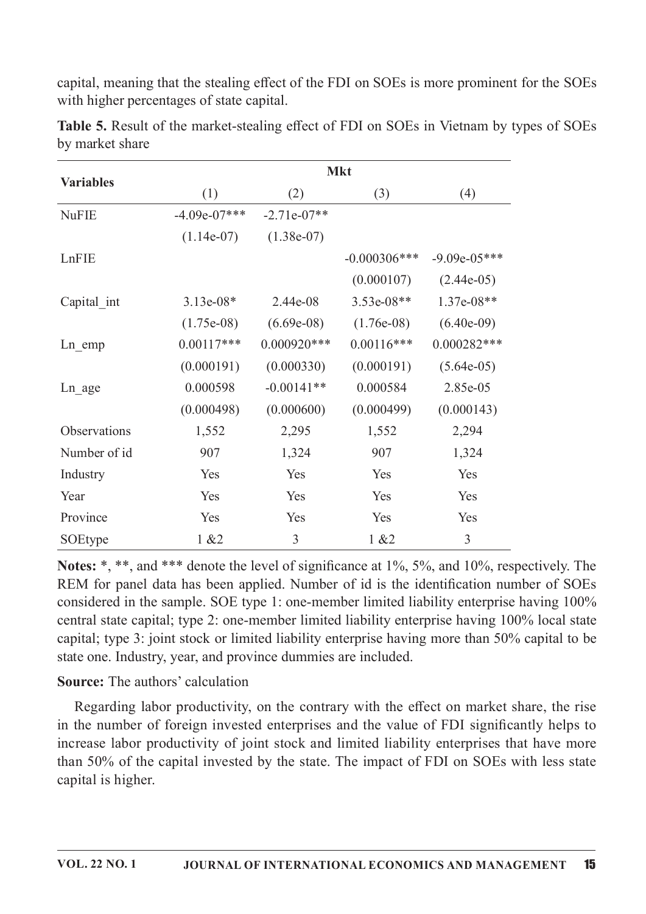capital, meaning that the stealing effect of the FDI on SOEs is more prominent for the SOEs with higher percentages of state capital.

|                  |                | <b>Mkt</b>    |                 |                |  |  |  |
|------------------|----------------|---------------|-----------------|----------------|--|--|--|
| <b>Variables</b> | (1)            | (2)           | (3)             | (4)            |  |  |  |
| <b>NuFIE</b>     | $-4.09e-07***$ | $-2.71e-07**$ |                 |                |  |  |  |
|                  | $(1.14e-07)$   | $(1.38e-07)$  |                 |                |  |  |  |
| LnFIE            |                |               | $-0.000306$ *** | $-9.09e-05***$ |  |  |  |
|                  |                |               | (0.000107)      | $(2.44e-05)$   |  |  |  |
| Capital int      | $3.13e-08*$    | $2.44e-08$    | $3.53e-08**$    | $1.37e-08**$   |  |  |  |
|                  | $(1.75e-08)$   | $(6.69e-08)$  | $(1.76e-0.8)$   | $(6.40e-09)$   |  |  |  |
| Ln emp           | $0.00117***$   | $0.000920***$ | $0.00116***$    | $0.000282***$  |  |  |  |
|                  | (0.000191)     | (0.000330)    | (0.000191)      | $(5.64e-05)$   |  |  |  |
| Ln age           | 0.000598       | $-0.00141**$  | 0.000584        | 2.85e-05       |  |  |  |
|                  | (0.000498)     | (0.000600)    | (0.000499)      | (0.000143)     |  |  |  |
| Observations     | 1,552          | 2,295         | 1,552           | 2,294          |  |  |  |
| Number of id     | 907            | 1,324         | 907             | 1,324          |  |  |  |
| Industry         | Yes            | Yes           | Yes             | Yes            |  |  |  |
| Year             | Yes            | Yes           | Yes             | Yes            |  |  |  |
| Province         | Yes            | Yes           | Yes             | Yes            |  |  |  |
| SOEtype          | 1 & 22         | 3             | 1 & 22          | 3              |  |  |  |

Table 5. Result of the market-stealing effect of FDI on SOEs in Vietnam by types of SOEs by market share

Notes: \*, \*\*, and \*\*\* denote the level of significance at 1%, 5%, and 10%, respectively. The REM for panel data has been applied. Number of id is the identification number of SOEs considered in the sample. SOE type 1: one-member limited liability enterprise having 100% central state capital; type 2: one-member limited liability enterprise having 100% local state capital; type 3: joint stock or limited liability enterprise having more than 50% capital to be state one. Industry, year, and province dummies are included.

## **Source:** The authors' calculation

Regarding labor productivity, on the contrary with the effect on market share, the rise in the number of foreign invested enterprises and the value of FDI significantly helps to increase labor productivity of joint stock and limited liability enterprises that have more than 50% of the capital invested by the state. The impact of FDI on SOEs with less state capital is higher.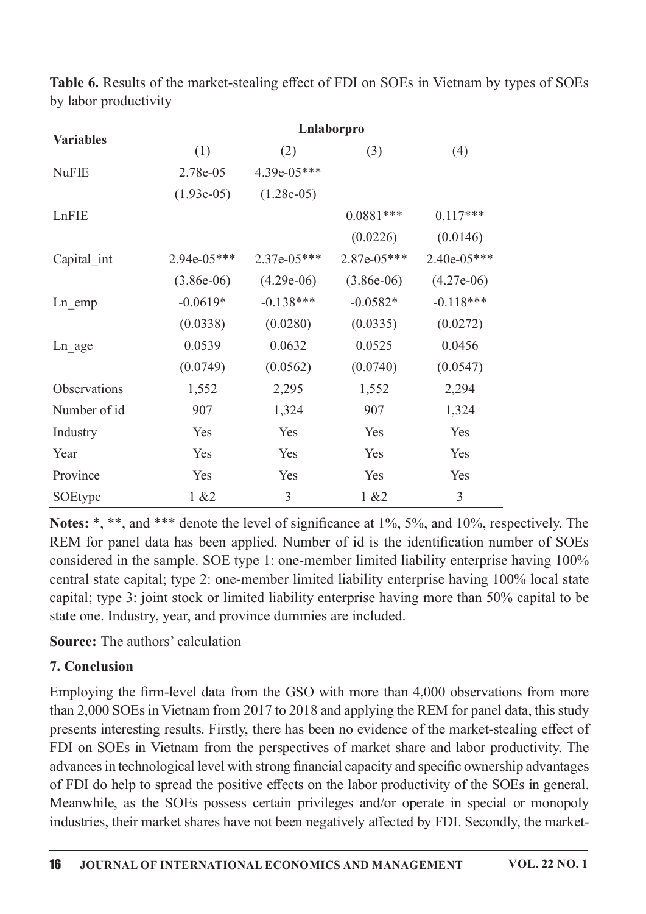|                  | Lnlaborpro    |               |              |               |  |  |  |
|------------------|---------------|---------------|--------------|---------------|--|--|--|
| <b>Variables</b> | (1)           | (2)           | (3)          | (4)           |  |  |  |
| <b>NuFIE</b>     | 2.78e-05      | $4.39e-05***$ |              |               |  |  |  |
|                  | $(1.93e-05)$  | $(1.28e-05)$  |              |               |  |  |  |
| LnFIE            |               |               | $0.0881***$  | $0.117***$    |  |  |  |
|                  |               |               | (0.0226)     | (0.0146)      |  |  |  |
| Capital int      | $2.94e-05***$ | $2.37e-05***$ | 2.87e-05***  | $2.40e-05***$ |  |  |  |
|                  | $(3.86e-06)$  | $(4.29e-06)$  | $(3.86e-06)$ | $(4.27e-06)$  |  |  |  |
| Ln emp           | $-0.0619*$    | $-0.138***$   | $-0.0582*$   | $-0.118***$   |  |  |  |
|                  | (0.0338)      | (0.0280)      | (0.0335)     | (0.0272)      |  |  |  |
| Ln age           | 0.0539        | 0.0632        | 0.0525       | 0.0456        |  |  |  |
|                  | (0.0749)      | (0.0562)      | (0.0740)     | (0.0547)      |  |  |  |
| Observations     | 1,552         | 2,295         | 1,552        | 2,294         |  |  |  |
| Number of id     | 907           | 1,324         | 907          | 1,324         |  |  |  |
| Industry         | Yes           | Yes           | Yes          | Yes           |  |  |  |
| Year             | Yes           | Yes           | Yes          | Yes           |  |  |  |
| Province         | Yes           | Yes           | Yes          | Yes           |  |  |  |
| SOEtype          | 1 & 22        | 3             | 1 & 2        | 3             |  |  |  |

Table 6. Results of the market-stealing effect of FDI on SOEs in Vietnam by types of SOEs by labor productivity

Notes: \*, \*\*, and \*\*\* denote the level of significance at 1%, 5%, and 10%, respectively. The REM for panel data has been applied. Number of id is the identification number of SOEs considered in the sample. SOE type 1: one-member limited liability enterprise having 100% central state capital; type 2: one-member limited liability enterprise having 100% local state capital; type 3: joint stock or limited liability enterprise having more than 50% capital to be state one. Industry, year, and province dummies are included.

**Source:** The authors' calculation

# 7. Conclusion

Employing the firm-level data from the GSO with more than 4,000 observations from more than 2,000 SOEs in Vietnam from 2017 to 2018 and applying the REM for panel data, this study presents interesting results. Firstly, there has been no evidence of the market-stealing effect of FDI on SOEs in Vietnam from the perspectives of market share and labor productivity. The advances in technological level with strong financial capacity and specific ownership advantages of FDI do help to spread the positive effects on the labor productivity of the SOEs in general. Meanwhile, as the SOEs possess certain privileges and/or operate in special or monopoly industries, their market shares have not been negatively affected by FDI. Secondly, the market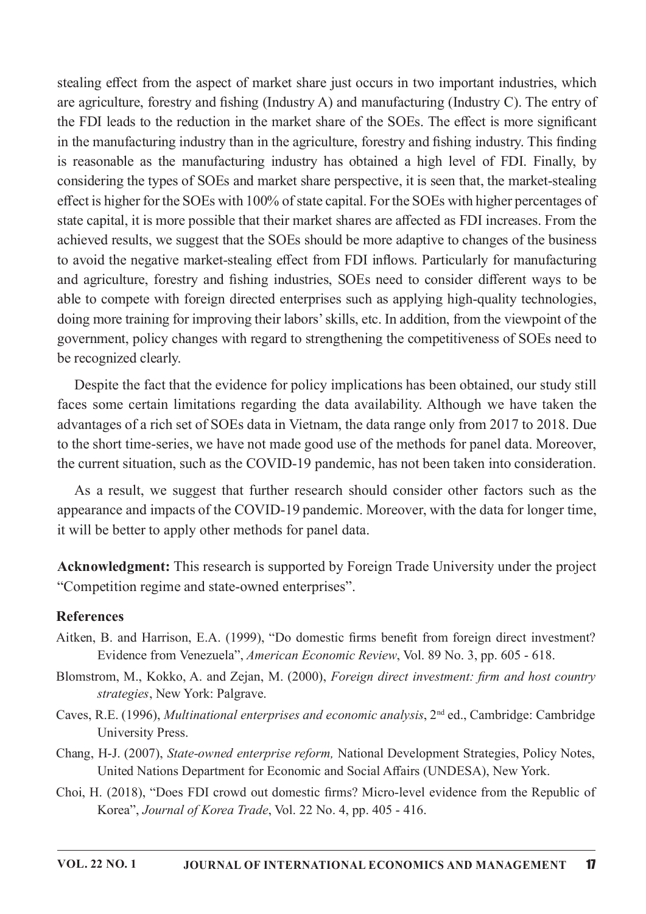stealing effect from the aspect of market share just occurs in two important industries, which are agriculture, forestry and fishing (Industry A) and manufacturing (Industry C). The entry of the FDI leads to the reduction in the market share of the SOEs. The effect is more significant in the manufacturing industry than in the agriculture, forestry and fishing industry. This finding is reasonable as the manufacturing industry has obtained a high level of FDI. Finally, by considering the types of SOEs and market share perspective, it is seen that, the market-stealing effect is higher for the SOEs with 100% of state capital. For the SOEs with higher percentages of state capital, it is more possible that their market shares are affected as FDI increases. From the achieved results, we suggest that the SOEs should be more adaptive to changes of the business to avoid the negative market-stealing effect from FDI inflows. Particularly for manufacturing and agriculture, forestry and fishing industries, SOEs need to consider different ways to be able to compete with foreign directed enterprises such as applying high-quality technologies, doing more training for improving their labors' skills, etc. In addition, from the viewpoint of the government, policy changes with regard to strengthening the competitiveness of SOEs need to be recognized clearly.

Despite the fact that the evidence for policy implications has been obtained, our study still faces some certain limitations regarding the data availability. Although we have taken the advantages of a rich set of SOEs data in Vietnam, the data range only from 2017 to 2018. Due to the short time-series, we have not made good use of the methods for panel data. Moreover, the current situation, such as the COVID-19 pandemic, has not been taken into consideration.

As a result, we suggest that further research should consider other factors such as the appearance and impacts of the COVID-19 pandemic. Moreover, with the data for longer time, it will be better to apply other methods for panel data.

Acknowledgment: This research is supported by Foreign Trade University under the project "Competition regime and state-owned enterprises".

#### References

- Aitken, B. and Harrison, E.A. (1999), "Do domestic firms benefit from foreign direct investment? Evidence from Venezuela", American Economic Review, Vol. 89 No. 3, pp. 605 - 618.
- Blomstrom, M., Kokko, A. and Zejan, M. (2000), Foreign direct investment: firm and host country strategies, New York: Palgrave.
- Caves, R.E. (1996), Multinational enterprises and economic analysis, 2<sup>nd</sup> ed., Cambridge: Cambridge University Press.
- Chang, H-J. (2007), State-owned enterprise reform, National Development Strategies, Policy Notes, United Nations Department for Economic and Social Affairs (UNDESA), New York.
- Choi, H. (2018), "Does FDI crowd out domestic firms? Micro-level evidence from the Republic of Korea", Journal of Korea Trade, Vol. 22 No. 4, pp. 405 - 416.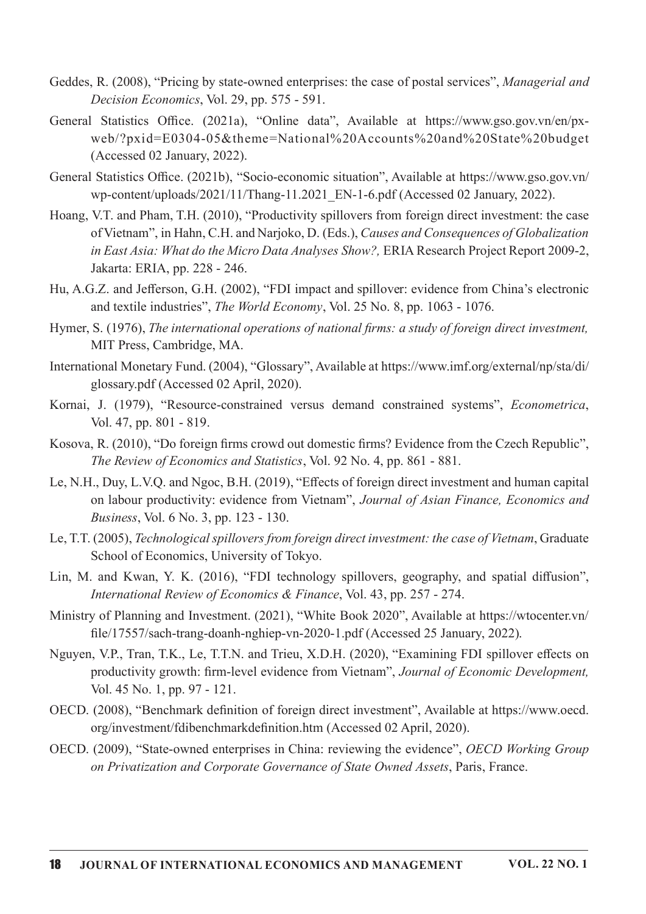- Geddes, R. (2008), "Pricing by state-owned enterprises: the case of postal services", *Managerial and* Decision Economics, Vol. 29, pp. 575 - 591.
- General Statistics Office. (2021a), "Online data", Available at https://www.gso.gov.vn/en/pxweb/?pxid=E0304-05&theme=National%20Accounts%20and%20State%20budget (Accessed 02 January, 2022).
- General Statistics Office. (2021b), "Socio-economic situation", Available at https://www.gso.gov.vn/ wp-content/uploads/2021/11/Thang-11.2021 EN-1-6.pdf (Accessed 02 January, 2022).
- Hoang, V.T. and Pham, T.H. (2010), "Productivity spillovers from foreign direct investment: the case of Vietnam", in Hahn, C.H. and Narjoko, D. (Eds.), Causes and Consequences of Globalization in East Asia: What do the Micro Data Analyses Show?, ERIA Research Project Report 2009-2, Jakarta: ERIA, pp. 228 - 246.
- Hu, A.G.Z. and Jefferson, G.H. (2002), "FDI impact and spillover: evidence from China's electronic and textile industries", The World Economy, Vol. 25 No. 8, pp. 1063 - 1076.
- Hymer, S. (1976), The international operations of national firms: a study of foreign direct investment, MIT Press, Cambridge, MA.
- International Monetary Fund. (2004), "Glossary", Available at https://www.imf.org/external/np/sta/di/ glossary.pdf (Accessed 02 April, 2020).
- Kornai, J. (1979), "Resource-constrained versus demand constrained systems", *Econometrica*, Vol. 47, pp. 801 - 819.
- Kosova, R. (2010), "Do foreign firms crowd out domestic firms? Evidence from the Czech Republic", The Review of Economics and Statistics, Vol. 92 No. 4, pp. 861 - 881.
- Le, N.H., Duy, L.V.Q. and Ngoc, B.H. (2019), "Effects of foreign direct investment and human capital on labour productivity: evidence from Vietnam", Journal of Asian Finance, Economics and *Business*, Vol. 6 No. 3, pp.  $123 - 130$ .
- Le, T.T. (2005), Technological spillovers from foreign direct investment: the case of Vietnam, Graduate School of Economics, University of Tokyo.
- Lin, M. and Kwan, Y. K. (2016), "FDI technology spillovers, geography, and spatial diffusion", International Review of Economics & Finance, Vol. 43, pp. 257 - 274.
- Ministry of Planning and Investment. (2021), "White Book 2020", Available at https://wtocenter.vn/ file/17557/sach-trang-doanh-nghiep-vn-2020-1.pdf (Accessed 25 January, 2022).
- Nguyen, V.P., Tran, T.K., Le, T.T.N. and Trieu, X.D.H. (2020), "Examining FDI spillover effects on productivity growth: firm-level evidence from Vietnam", Journal of Economic Development, Vol. 45 No. 1, pp. 97 - 121.
- OECD. (2008), "Benchmark definition of foreign direct investment", Available at https://www.oecd. org/investment/fdibenchmarkdefinition.htm (Accessed 02 April, 2020).
- OECD. (2009), "State-owned enterprises in China: reviewing the evidence", OECD Working Group on Privatization and Corporate Governance of State Owned Assets, Paris, France.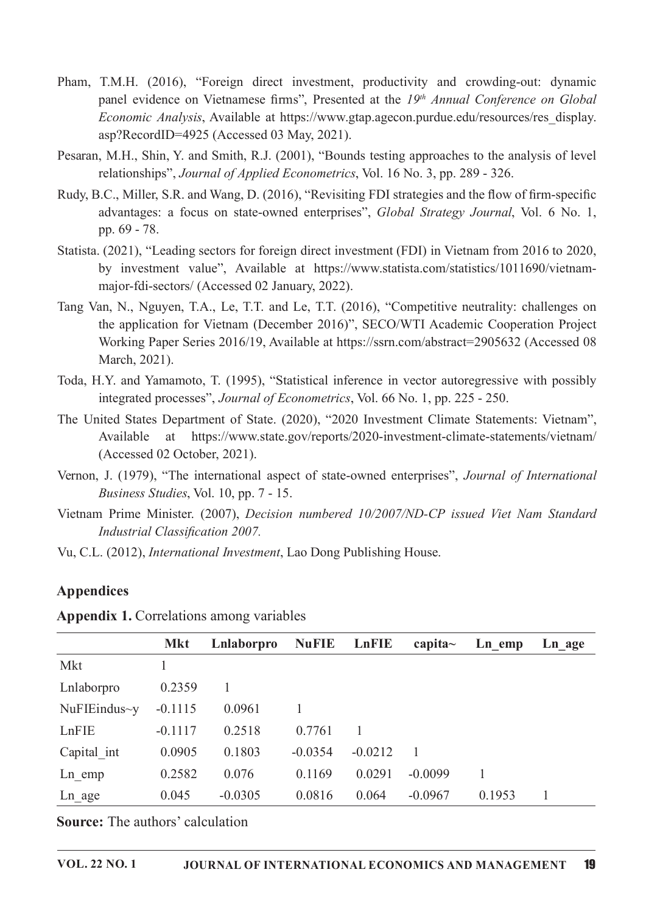- Pham, T.M.H. (2016), "Foreign direct investment, productivity and crowding-out: dynamic panel evidence on Vietnamese firms", Presented at the 19th Annual Conference on Global Economic Analysis, Available at https://www.gtap.agecon.purdue.edu/resources/res\_display. asp?RecordID=4925 (Accessed 03 May, 2021).
- Pesaran, M.H., Shin, Y. and Smith, R.J. (2001), "Bounds testing approaches to the analysis of level relationships", *Journal of Applied Econometrics*, Vol. 16 No. 3, pp. 289 - 326.
- Rudy, B.C., Miller, S.R. and Wang, D. (2016), "Revisiting FDI strategies and the flow of firm-specific advantages: a focus on state-owned enterprises", Global Strategy Journal, Vol. 6 No. 1, pp.69-78.
- Statista. (2021), "Leading sectors for foreign direct investment (FDI) in Vietnam from 2016 to 2020, by investment value", Available at https://www.statista.com/statistics/1011690/vietnammajor-fdi-sectors/ (Accessed 02 January, 2022).
- Tang Van, N., Nguyen, T.A., Le, T.T. and Le, T.T. (2016), "Competitive neutrality: challenges on the application for Vietnam (December 2016)", SECO/WTI Academic Cooperation Project Working Paper Series 2016/19, Available at https://ssrn.com/abstract=2905632 (Accessed 08 March, 2021).
- Toda, H.Y. and Yamamoto, T. (1995), "Statistical inference in vector autoregressive with possibly integrated processes", *Journal of Econometrics*, Vol. 66 No. 1, pp. 225 - 250.
- The United States Department of State. (2020), "2020 Investment Climate Statements: Vietnam", Available at https://www.state.gov/reports/2020-investment-climate-statements/vietnam/ (Accessed 02 October, 2021).
- Vernon, J. (1979), "The international aspect of state-owned enterprises", *Journal of International* Business Studies, Vol. 10, pp.  $7 - 15$ .
- Vietnam Prime Minister. (2007), Decision numbered 10/2007/ND-CP issued Viet Nam Standard Industrial Classification 2007.
- Vu, C.L. (2012), *International Investment*, Lao Dong Publishing House.

#### Appendices

|                     | <b>Mkt</b> | Lnlaborpro | <b>NuFIE</b> | LnFIE     | capita $\sim$ | Ln emp | Ln age |
|---------------------|------------|------------|--------------|-----------|---------------|--------|--------|
| Mkt                 |            |            |              |           |               |        |        |
| Lnlaborpro          | 0.2359     |            |              |           |               |        |        |
| $NuF1Eindus \sim y$ | $-0.1115$  | 0.0961     |              |           |               |        |        |
| LnFIE               | $-0.1117$  | 0.2518     | 0.7761       | 1         |               |        |        |
| Capital int         | 0.0905     | 0.1803     | $-0.0354$    | $-0.0212$ |               |        |        |
| $Ln$ emp            | 0.2582     | 0.076      | 0.1169       | 0.0291    | $-0.0099$     |        |        |
| $Ln_age$            | 0.045      | $-0.0305$  | 0.0816       | 0.064     | $-0.0967$     | 0.1953 |        |

Appendix 1. Correlations among variables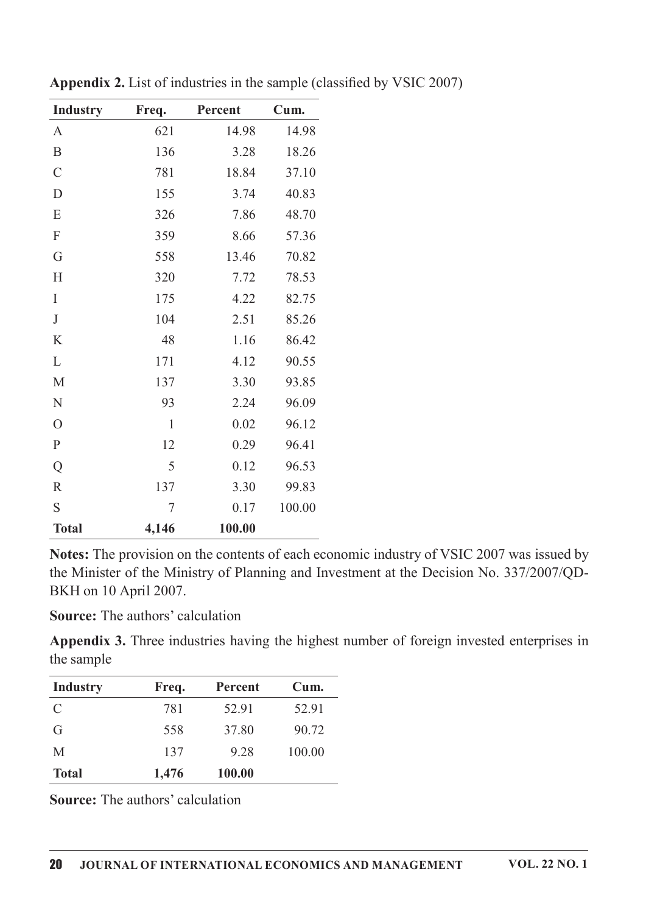| <b>Industry</b>  | Freq. | Percent | Cum.   |
|------------------|-------|---------|--------|
| $\mathbf{A}$     | 621   | 14.98   | 14.98  |
| $\boldsymbol{B}$ | 136   | 3.28    | 18.26  |
| $\mathcal{C}$    | 781   | 18.84   | 37.10  |
| $\mathbf D$      | 155   | 3.74    | 40.83  |
| E                | 326   | 7.86    | 48.70  |
| F                | 359   | 8.66    | 57.36  |
| G                | 558   | 13.46   | 70.82  |
| H                | 320   | 7.72    | 78.53  |
| I                | 175   | 4.22    | 82.75  |
| $\bf J$          | 104   | 2.51    | 85.26  |
| K                | 48    | 1.16    | 86.42  |
| L                | 171   | 4.12    | 90.55  |
| M                | 137   | 3.30    | 93.85  |
| ${\bf N}$        | 93    | 2.24    | 96.09  |
| $\overline{O}$   | 1     | 0.02    | 96.12  |
| ${\bf P}$        | 12    | 0.29    | 96.41  |
| Q                | 5     | 0.12    | 96.53  |
| $\mathbb{R}$     | 137   | 3.30    | 99.83  |
| S                | 7     | 0.17    | 100.00 |
| <b>Total</b>     | 4,146 | 100.00  |        |

Appendix 2. List of industries in the sample (classified by VSIC 2007)

Notes: The provision on the contents of each economic industry of VSIC 2007 was issued by the Minister of the Ministry of Planning and Investment at the Decision No. 337/2007/QD-BKH on 10 April 2007.

Source: The authors' calculation

Appendix 3. Three industries having the highest number of foreign invested enterprises in the sample

| <b>Industry</b> | Freq. | Percent | Cum.   |
|-----------------|-------|---------|--------|
| C               | 781   | 52.91   | 52.91  |
| G               | 558   | 37.80   | 90.72  |
| M               | 137   | 9.28    | 100.00 |
| <b>Total</b>    | 1,476 | 100.00  |        |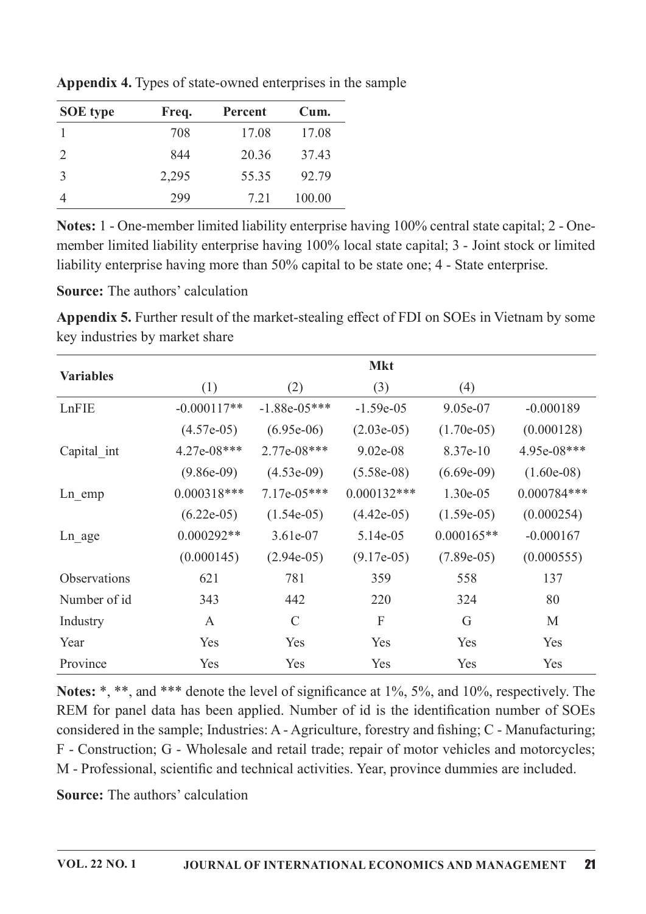| <b>SOE</b> type | Freq. | Percent | Cum.   |
|-----------------|-------|---------|--------|
|                 | 708   | 17.08   | 17.08  |
| 2               | 844   | 20.36   | 37.43  |
| 3               | 2,295 | 55.35   | 92.79  |
|                 | 299   | 7.21    | 100.00 |

Appendix 4. Types of state-owned enterprises in the sample

Notes: 1 - One-member limited liability enterprise having 100% central state capital; 2 - Onemember limited liability enterprise having 100% local state capital; 3 - Joint stock or limited liability enterprise having more than 50% capital to be state one; 4 - State enterprise.

**Source:** The authors' calculation

**Appendix 5.** Further result of the market-stealing effect of FDI on SOEs in Vietnam by some key industries by market share

|                     |               |                | <b>Mkt</b>    |              |               |
|---------------------|---------------|----------------|---------------|--------------|---------------|
| <b>Variables</b>    | (1)           | (2)            | (3)           | (4)          |               |
| LnFIE               | $-0.000117**$ | $-1.88e-05***$ | $-1.59e-05$   | 9.05e-07     | $-0.000189$   |
|                     | $(4.57e-05)$  | $(6.95e-06)$   | $(2.03e-05)$  | $(1.70e-05)$ | (0.000128)    |
| Capital int         | $4.27e-08***$ | $2.77e-08***$  | $9.02e-08$    | 8.37e-10     | 4.95e-08***   |
|                     | $(9.86e-09)$  | $(4.53e-09)$   | $(5.58e-08)$  | $(6.69e-09)$ | $(1.60e-08)$  |
| $Ln$ emp            | $0.000318***$ | $7.17e-05***$  | $0.000132***$ | $1.30e-0.5$  | $0.000784***$ |
|                     | $(6.22e-05)$  | $(1.54e-05)$   | $(4.42e-05)$  | $(1.59e-05)$ | (0.000254)    |
| Ln age              | $0.000292**$  | $3.61e-07$     | 5.14e-05      | $0.000165**$ | $-0.000167$   |
|                     | (0.000145)    | $(2.94e-05)$   | $(9.17e-05)$  | $(7.89e-05)$ | (0.000555)    |
| <b>Observations</b> | 621           | 781            | 359           | 558          | 137           |
| Number of id        | 343           | 442            | 220           | 324          | 80            |
| Industry            | $\mathsf{A}$  | $\mathcal{C}$  | F             | G            | M             |
| Year                | Yes           | Yes            | Yes           | Yes          | Yes           |
| Province            | Yes           | Yes            | Yes           | Yes          | Yes           |

Notes: \*, \*\*, and \*\*\* denote the level of significance at 1%, 5%, and 10%, respectively. The REM for panel data has been applied. Number of id is the identification number of SOEs considered in the sample; Industries: A - Agriculture, forestry and fishing; C - Manufacturing; F - Construction; G - Wholesale and retail trade; repair of motor vehicles and motorcycles; M - Professional, scientific and technical activities. Year, province dummies are included.